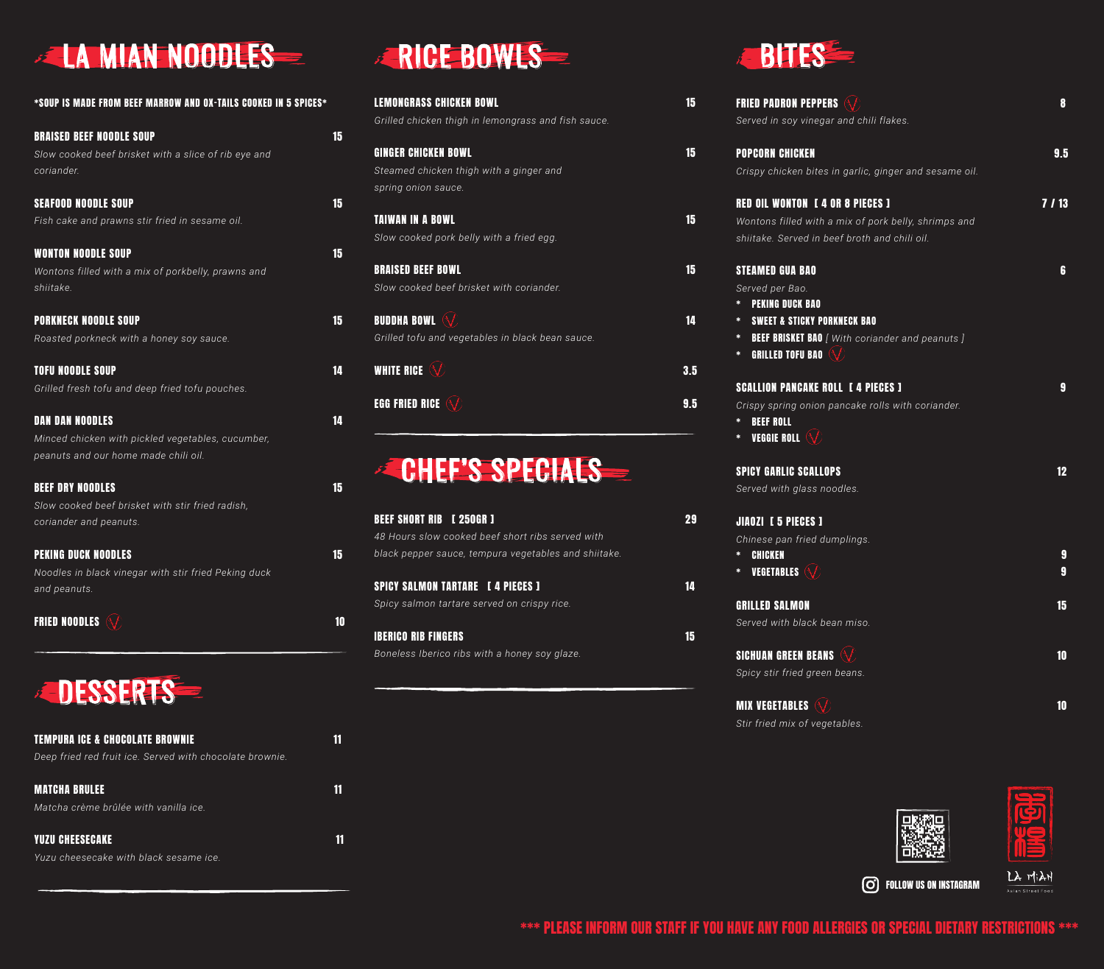# **EXAMIAN NOODLES**

| *SOUP IS MADE FROM BEEF MARROW AND OX-TAILS COOKED IN 5 SPICES*                         |    |
|-----------------------------------------------------------------------------------------|----|
| <b>BRAISED BEEF NOODLE SOUP</b><br>Slow cooked beef brisket with a slice of rib eye and | 15 |
| coriander.                                                                              |    |
| <b>SEAFOOD NOODLE SOUP</b>                                                              | 15 |
| Fish cake and prawns stir fried in sesame oil.                                          |    |
| WONTON NOODLE SOUP                                                                      | 15 |
| Wontons filled with a mix of porkbelly, prawns and<br>shiitake.                         |    |
| PORKNECK NOODLE SOUP                                                                    | 15 |
| Roasted porkneck with a honey soy sauce.                                                |    |
| <b>TOFU NOODLE SOUP</b>                                                                 | 14 |
| Grilled fresh tofu and deep fried tofu pouches.                                         |    |
| DAN DAN NOODLES                                                                         | 14 |
| Minced chicken with pickled vegetables, cucumber,                                       |    |
| peanuts and our home made chili oil.                                                    |    |
| <b>BEEF DRY NOODLES</b>                                                                 | 15 |
| Slow cooked beef brisket with stir fried radish,<br>coriander and peanuts.              |    |
| PEKING DUCK NOODLES                                                                     | 15 |
| Noodles in black vinegar with stir fried Peking duck<br>and peanuts.                    |    |
| FRIED NOODLES                                                                           | 10 |



| <b>TEMPURA ICE &amp; CHOCOLATE BROWNIE</b>               |  |
|----------------------------------------------------------|--|
| Deep fried red fruit ice. Served with chocolate brownie. |  |
| <b>MATCHA BRULEE</b>                                     |  |
| Matcha crème brûlée with vanilla ice.                    |  |
| <b>YUZU CHEESECAKE</b>                                   |  |
| Yuzu cheesecake with black sesame ice.                   |  |

#### **RICE BOWLS**

| <b>LEMONGRASS CHICKEN BOWL</b>                                 | 15 |
|----------------------------------------------------------------|----|
| Grilled chicken thigh in lemongrass and fish sauce.            |    |
| <b>GINGER CHICKEN BOWL</b>                                     | 15 |
| Steamed chicken thigh with a ginger and<br>spring onion sauce. |    |
|                                                                |    |
| TAIWAN IN A BOWL                                               | 15 |
| Slow cooked pork belly with a fried egg.                       |    |
| <b>BRAISED BEEF BOWL</b>                                       | 15 |
| Slow cooked beef brisket with coriander.                       |    |
| <b>BUDDHA BOWL</b> $\Diamond$                                  | 14 |
| Grilled tofu and vegetables in black bean sauce.               |    |
| <b>WHITE RICE</b>                                              |    |

**EGG FRIED RICE WE SEE ALL AND SECURE 2008** 

#### **ECHEF'S SPECIALS**

| <b>BEEF SHORT RIB [250GR]</b>                        |  |
|------------------------------------------------------|--|
| 48 Hours slow cooked beef short ribs served with     |  |
| black pepper sauce, tempura vegetables and shiitake. |  |
|                                                      |  |
| <b>SPICY SALMON TARTARE</b> [4 PIECES ]              |  |
| Spicy salmon tartare served on crispy rice.          |  |
|                                                      |  |
| <b>IBERICO RIB FINGERS</b>                           |  |
| Boneless Iberico ribs with a honey soy glaze.        |  |



| <b>FRIED PADRON PEPPERS</b>                                 | 8    |
|-------------------------------------------------------------|------|
| Served in soy vinegar and chili flakes.                     |      |
| <b>POPCORN CHICKEN</b>                                      | 9.5  |
| Crispy chicken bites in garlic, ginger and sesame oil.      |      |
| <b>RED OIL WONTON [4 OR 8 PIECES ]</b>                      | 7/13 |
| Wontons filled with a mix of pork belly, shrimps and        |      |
| shiitake. Served in beef broth and chili oil.               |      |
| <b>STEAMED GUA BAO</b>                                      | 6    |
| Served per Bao.                                             |      |
| <b>PEKING DUCK BAO</b><br>*                                 |      |
| <b>SWEET &amp; STICKY PORKNECK BAO</b><br>*                 |      |
| <b>BEEF BRISKET BAO</b> [ With coriander and peanuts ]<br>* |      |
| GRILLED TOFU BAO $\langle \sqrt{\rangle}$<br>$\ast$         |      |
| <b>SCALLION PANCAKE ROLL I 4 PIECES I</b>                   | 9    |
| Crispy spring onion pancake rolls with coriander.           |      |
| *<br><b>BEEF ROLL</b>                                       |      |
| VEGGIE ROLL $\langle \sqrt{\rangle}$<br>*                   |      |
| <b>SPICY GARLIC SCALLOPS</b>                                | 12   |
| Served with glass noodles.                                  |      |
| <b>JIAOZI [5 PIECES ]</b>                                   |      |
| Chinese pan fried dumplings.                                |      |
| <b>CHICKEN</b><br>*                                         | 9    |
| <b>VEGETABLES</b> $\langle \sqrt{\rangle}$<br>*             | 9    |
| <b>GRILLED SALMON</b>                                       | 15   |
| Served with black bean miso.                                |      |
| <b>SICHUAN GREEN BEANS</b>                                  | 10   |
| Spicy stir fried green beans.                               |      |
| <b>MIX VEGETABLES</b>                                       | 10   |





FOLLOW US ON INSTAGRAM

LA MIAN

*Stir fried mix of vegetables.*